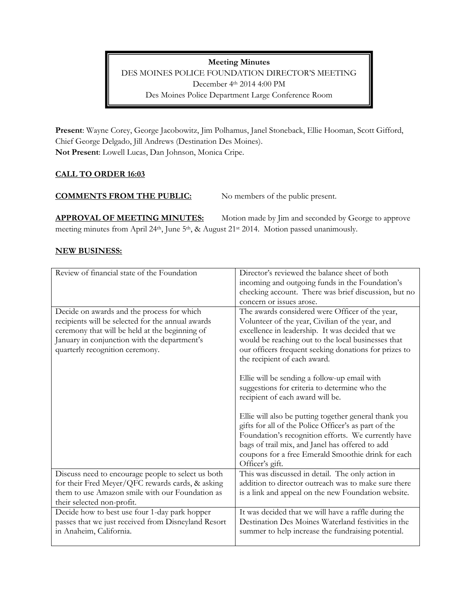**Meeting Minutes** DES MOINES POLICE FOUNDATION DIRECTOR'S MEETING December 4th 2014 4:00 PM Des Moines Police Department Large Conference Room

**Present**: Wayne Corey, George Jacobowitz, Jim Polhamus, Janel Stoneback, Ellie Hooman, Scott Gifford, Chief George Delgado, Jill Andrews (Destination Des Moines). **Not Present**: Lowell Lucas, Dan Johnson, Monica Cripe.

# **CALL TO ORDER 16:03**

### **COMMENTS FROM THE PUBLIC:** No members of the public present.

**APPROVAL OF MEETING MINUTES:** Motion made by Jim and seconded by George to approve meeting minutes from April 24<sup>th</sup>, June 5<sup>th</sup>, & August 21<sup>st</sup> 2014. Motion passed unanimously.

### **NEW BUSINESS:**

| Review of financial state of the Foundation         | Director's reviewed the balance sheet of both         |
|-----------------------------------------------------|-------------------------------------------------------|
|                                                     | incoming and outgoing funds in the Foundation's       |
|                                                     | checking account. There was brief discussion, but no  |
|                                                     | concern or issues arose.                              |
| Decide on awards and the process for which          | The awards considered were Officer of the year,       |
| recipients will be selected for the annual awards   | Volunteer of the year, Civilian of the year, and      |
| ceremony that will be held at the beginning of      | excellence in leadership. It was decided that we      |
| January in conjunction with the department's        | would be reaching out to the local businesses that    |
| quarterly recognition ceremony.                     | our officers frequent seeking donations for prizes to |
|                                                     | the recipient of each award.                          |
|                                                     |                                                       |
|                                                     | Ellie will be sending a follow-up email with          |
|                                                     | suggestions for criteria to determine who the         |
|                                                     | recipient of each award will be.                      |
|                                                     |                                                       |
|                                                     | Ellie will also be putting together general thank you |
|                                                     | gifts for all of the Police Officer's as part of the  |
|                                                     | Foundation's recognition efforts. We currently have   |
|                                                     | bags of trail mix, and Janel has offered to add       |
|                                                     | coupons for a free Emerald Smoothie drink for each    |
|                                                     | Officer's gift.                                       |
| Discuss need to encourage people to select us both  | This was discussed in detail. The only action in      |
| for their Fred Meyer/QFC rewards cards, & asking    | addition to director outreach was to make sure there  |
| them to use Amazon smile with our Foundation as     | is a link and appeal on the new Foundation website.   |
| their selected non-profit.                          |                                                       |
| Decide how to best use four 1-day park hopper       | It was decided that we will have a raffle during the  |
| passes that we just received from Disneyland Resort | Destination Des Moines Waterland festivities in the   |
| in Anaheim, California.                             | summer to help increase the fundraising potential.    |
|                                                     |                                                       |